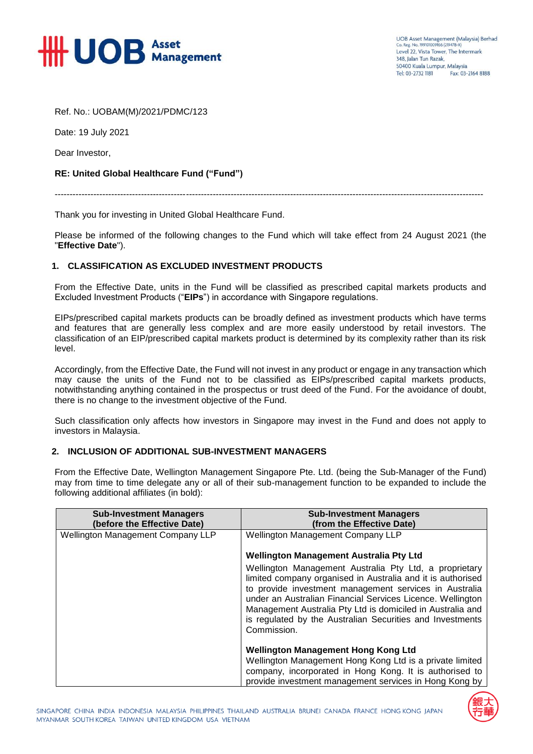

Ref. No.: UOBAM(M)/2021/PDMC/123

Date: 19 July 2021

Dear Investor,

## **RE: United Global Healthcare Fund ("Fund")**

------------------------------------------------------------------------------------------------------------------------------------------------

Thank you for investing in United Global Healthcare Fund.

Please be informed of the following changes to the Fund which will take effect from 24 August 2021 (the "**Effective Date**").

## **1. CLASSIFICATION AS EXCLUDED INVESTMENT PRODUCTS**

From the Effective Date, units in the Fund will be classified as prescribed capital markets products and Excluded Investment Products ("**EIPs**") in accordance with Singapore regulations.

EIPs/prescribed capital markets products can be broadly defined as investment products which have terms and features that are generally less complex and are more easily understood by retail investors. The classification of an EIP/prescribed capital markets product is determined by its complexity rather than its risk level.

Accordingly, from the Effective Date, the Fund will not invest in any product or engage in any transaction which may cause the units of the Fund not to be classified as EIPs/prescribed capital markets products, notwithstanding anything contained in the prospectus or trust deed of the Fund. For the avoidance of doubt, there is no change to the investment objective of the Fund.

Such classification only affects how investors in Singapore may invest in the Fund and does not apply to investors in Malaysia.

## **2. INCLUSION OF ADDITIONAL SUB-INVESTMENT MANAGERS**

From the Effective Date, Wellington Management Singapore Pte. Ltd. (being the Sub-Manager of the Fund) may from time to time delegate any or all of their sub-management function to be expanded to include the following additional affiliates (in bold):

| <b>Sub-Investment Managers</b><br>(before the Effective Date) | <b>Sub-Investment Managers</b><br>(from the Effective Date)                                                                                                                                                                                                                                                                                                                             |
|---------------------------------------------------------------|-----------------------------------------------------------------------------------------------------------------------------------------------------------------------------------------------------------------------------------------------------------------------------------------------------------------------------------------------------------------------------------------|
| <b>Wellington Management Company LLP</b>                      | <b>Wellington Management Company LLP</b>                                                                                                                                                                                                                                                                                                                                                |
|                                                               | <b>Wellington Management Australia Pty Ltd</b>                                                                                                                                                                                                                                                                                                                                          |
|                                                               | Wellington Management Australia Pty Ltd, a proprietary<br>limited company organised in Australia and it is authorised<br>to provide investment management services in Australia<br>under an Australian Financial Services Licence. Wellington<br>Management Australia Pty Ltd is domiciled in Australia and<br>is regulated by the Australian Securities and Investments<br>Commission. |
|                                                               | <b>Wellington Management Hong Kong Ltd</b><br>Wellington Management Hong Kong Ltd is a private limited<br>company, incorporated in Hong Kong. It is authorised to<br>provide investment management services in Hong Kong by                                                                                                                                                             |